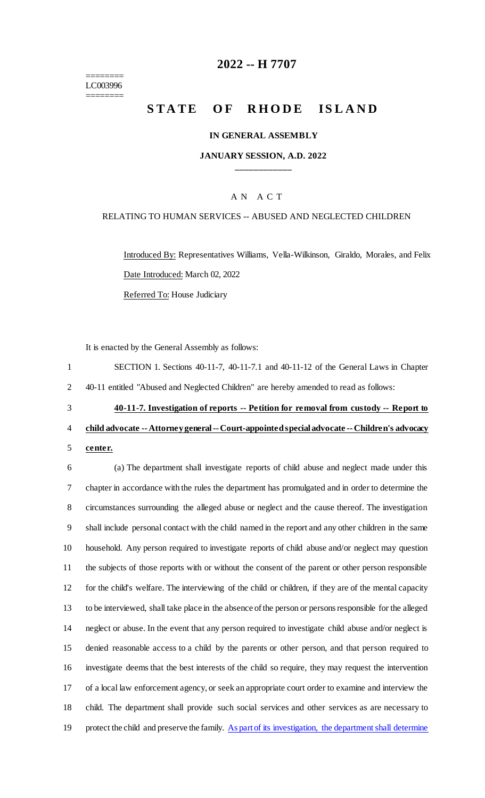$=$ LC003996

 $=$ 

# **2022 -- H 7707**

# **STATE OF RHODE ISLAND**

#### **IN GENERAL ASSEMBLY**

#### **JANUARY SESSION, A.D. 2022 \_\_\_\_\_\_\_\_\_\_\_\_**

## A N A C T

#### RELATING TO HUMAN SERVICES -- ABUSED AND NEGLECTED CHILDREN

Introduced By: Representatives Williams, Vella-Wilkinson, Giraldo, Morales, and Felix Date Introduced: March 02, 2022 Referred To: House Judiciary

It is enacted by the General Assembly as follows:

| $\mathbf{1}$   | SECTION 1. Sections 40-11-7, 40-11-7.1 and 40-11-12 of the General Laws in Chapter                      |
|----------------|---------------------------------------------------------------------------------------------------------|
| $\overline{2}$ | 40-11 entitled "Abused and Neglected Children" are hereby amended to read as follows:                   |
| 3              | 40-11-7. Investigation of reports -- Petition for removal from custody -- Report to                     |
| 4              | child advocate -- Attorney general -- Court-appointed special advocate -- Children's advocacy           |
| 5              | center.                                                                                                 |
| 6              | (a) The department shall investigate reports of child abuse and neglect made under this                 |
| 7              | chapter in accordance with the rules the department has promulgated and in order to determine the       |
| 8              | circumstances surrounding the alleged abuse or neglect and the cause thereof. The investigation         |
| 9              | shall include personal contact with the child named in the report and any other children in the same    |
| 10             | household. Any person required to investigate reports of child abuse and/or neglect may question        |
| 11             | the subjects of those reports with or without the consent of the parent or other person responsible     |
| 12             | for the child's welfare. The interviewing of the child or children, if they are of the mental capacity  |
| 13             | to be interviewed, shall take place in the absence of the person or persons responsible for the alleged |
| 14             | neglect or abuse. In the event that any person required to investigate child abuse and/or neglect is    |
| 15             | denied reasonable access to a child by the parents or other person, and that person required to         |
| 16             | investigate deems that the best interests of the child so require, they may request the intervention    |
| 17             | of a local law enforcement agency, or seek an appropriate court order to examine and interview the      |

18 child. The department shall provide such social services and other services as are necessary to 19 protect the child and preserve the family. As part of its investigation, the department shall determine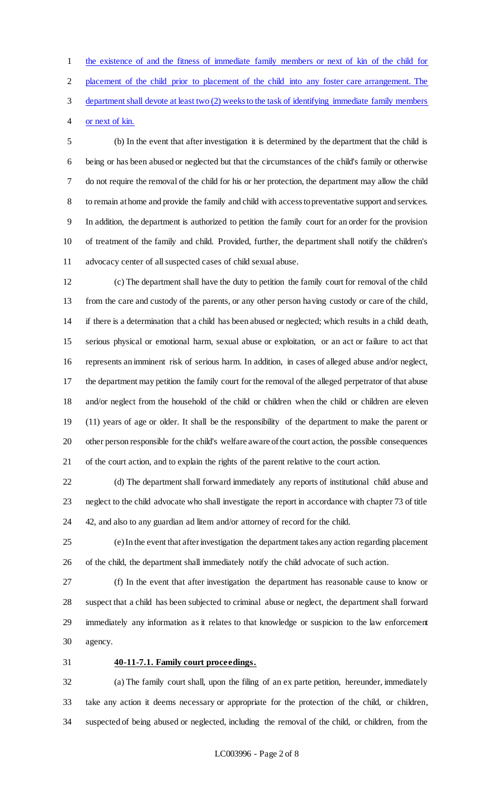the existence of and the fitness of immediate family members or next of kin of the child for placement of the child prior to placement of the child into any foster care arrangement. The department shall devote at least two (2) weeks to the task of identifying immediate family members

or next of kin.

 (b) In the event that after investigation it is determined by the department that the child is being or has been abused or neglected but that the circumstances of the child's family or otherwise do not require the removal of the child for his or her protection, the department may allow the child to remain at home and provide the family and child with access to preventative support and services. In addition, the department is authorized to petition the family court for an order for the provision of treatment of the family and child. Provided, further, the department shall notify the children's advocacy center of all suspected cases of child sexual abuse.

 (c) The department shall have the duty to petition the family court for removal of the child from the care and custody of the parents, or any other person having custody or care of the child, if there is a determination that a child has been abused or neglected; which results in a child death, serious physical or emotional harm, sexual abuse or exploitation, or an act or failure to act that represents an imminent risk of serious harm. In addition, in cases of alleged abuse and/or neglect, the department may petition the family court for the removal of the alleged perpetrator of that abuse and/or neglect from the household of the child or children when the child or children are eleven (11) years of age or older. It shall be the responsibility of the department to make the parent or other person responsible for the child's welfare aware of the court action, the possible consequences of the court action, and to explain the rights of the parent relative to the court action.

 (d) The department shall forward immediately any reports of institutional child abuse and neglect to the child advocate who shall investigate the report in accordance with chapter 73 of title 42, and also to any guardian ad litem and/or attorney of record for the child.

 (e) In the event that after investigation the department takes any action regarding placement of the child, the department shall immediately notify the child advocate of such action.

 (f) In the event that after investigation the department has reasonable cause to know or suspect that a child has been subjected to criminal abuse or neglect, the department shall forward immediately any information as it relates to that knowledge or suspicion to the law enforcement agency.

## **40-11-7.1. Family court proceedings.**

 (a) The family court shall, upon the filing of an ex parte petition, hereunder, immediately take any action it deems necessary or appropriate for the protection of the child, or children, suspected of being abused or neglected, including the removal of the child, or children, from the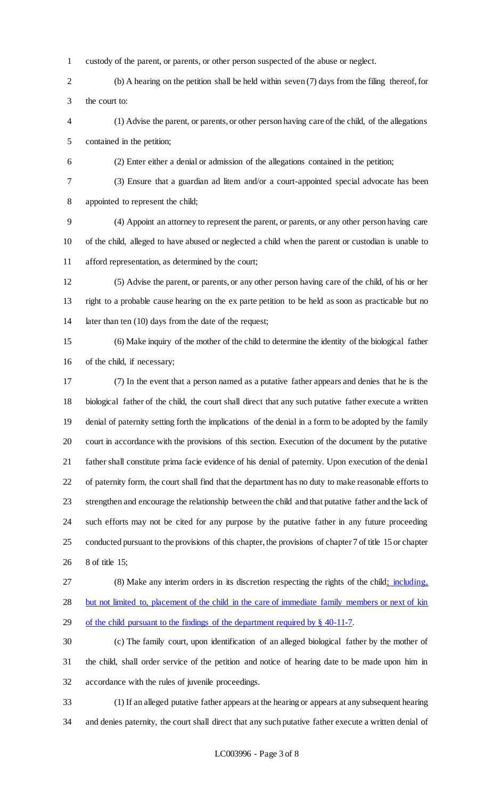- custody of the parent, or parents, or other person suspected of the abuse or neglect.
- (b) A hearing on the petition shall be held within seven (7) days from the filing thereof, for the court to:
- (1) Advise the parent, or parents, or other person having care of the child, of the allegations contained in the petition;
- (2) Enter either a denial or admission of the allegations contained in the petition;
- (3) Ensure that a guardian ad litem and/or a court-appointed special advocate has been appointed to represent the child;

 (4) Appoint an attorney to represent the parent, or parents, or any other person having care of the child, alleged to have abused or neglected a child when the parent or custodian is unable to afford representation, as determined by the court;

- (5) Advise the parent, or parents, or any other person having care of the child, of his or her right to a probable cause hearing on the ex parte petition to be held as soon as practicable but no 14 later than ten (10) days from the date of the request;
- (6) Make inquiry of the mother of the child to determine the identity of the biological father of the child, if necessary;
- (7) In the event that a person named as a putative father appears and denies that he is the biological father of the child, the court shall direct that any such putative father execute a written denial of paternity setting forth the implications of the denial in a form to be adopted by the family court in accordance with the provisions of this section. Execution of the document by the putative father shall constitute prima facie evidence of his denial of paternity. Upon execution of the denial of paternity form, the court shall find that the department has no duty to make reasonable efforts to strengthen and encourage the relationship between the child and that putative father and the lack of such efforts may not be cited for any purpose by the putative father in any future proceeding conducted pursuant to the provisions of this chapter, the provisions of chapter 7 of title 15 or chapter 8 of title 15;
- 

27 (8) Make any interim orders in its discretion respecting the rights of the child; including,

but not limited to, placement of the child in the care of immediate family members or next of kin

- of the child pursuant to the findings of the department required by § 40-11-7.
- (c) The family court, upon identification of an alleged biological father by the mother of the child, shall order service of the petition and notice of hearing date to be made upon him in accordance with the rules of juvenile proceedings.
- (1) If an alleged putative father appears at the hearing or appears at any subsequent hearing and denies paternity, the court shall direct that any such putative father execute a written denial of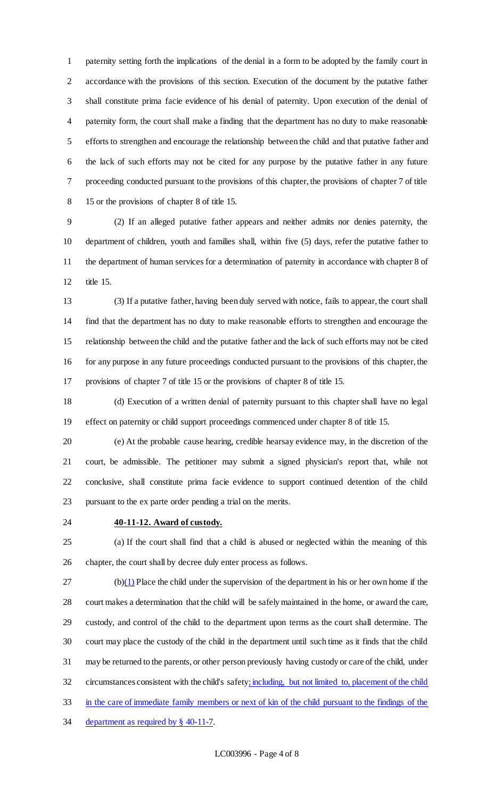paternity setting forth the implications of the denial in a form to be adopted by the family court in accordance with the provisions of this section. Execution of the document by the putative father shall constitute prima facie evidence of his denial of paternity. Upon execution of the denial of paternity form, the court shall make a finding that the department has no duty to make reasonable efforts to strengthen and encourage the relationship between the child and that putative father and the lack of such efforts may not be cited for any purpose by the putative father in any future proceeding conducted pursuant to the provisions of this chapter, the provisions of chapter 7 of title 15 or the provisions of chapter 8 of title 15.

 (2) If an alleged putative father appears and neither admits nor denies paternity, the department of children, youth and families shall, within five (5) days, refer the putative father to the department of human services for a determination of paternity in accordance with chapter 8 of title 15.

 (3) If a putative father, having been duly served with notice, fails to appear, the court shall find that the department has no duty to make reasonable efforts to strengthen and encourage the relationship between the child and the putative father and the lack of such efforts may not be cited for any purpose in any future proceedings conducted pursuant to the provisions of this chapter, the provisions of chapter 7 of title 15 or the provisions of chapter 8 of title 15.

 (d) Execution of a written denial of paternity pursuant to this chapter shall have no legal effect on paternity or child support proceedings commenced under chapter 8 of title 15.

 (e) At the probable cause hearing, credible hearsay evidence may, in the discretion of the court, be admissible. The petitioner may submit a signed physician's report that, while not conclusive, shall constitute prima facie evidence to support continued detention of the child pursuant to the ex parte order pending a trial on the merits.

## **40-11-12. Award of custody.**

 (a) If the court shall find that a child is abused or neglected within the meaning of this chapter, the court shall by decree duly enter process as follows.

 (b)(1) Place the child under the supervision of the department in his or her own home if the court makes a determination that the child will be safely maintained in the home, or award the care, custody, and control of the child to the department upon terms as the court shall determine. The court may place the custody of the child in the department until such time as it finds that the child may be returned to the parents, or other person previously having custody or care of the child, under circumstances consistent with the child's safety; including, but not limited to, placement of the child in the care of immediate family members or next of kin of the child pursuant to the findings of the 34 department as required by § 40-11-7.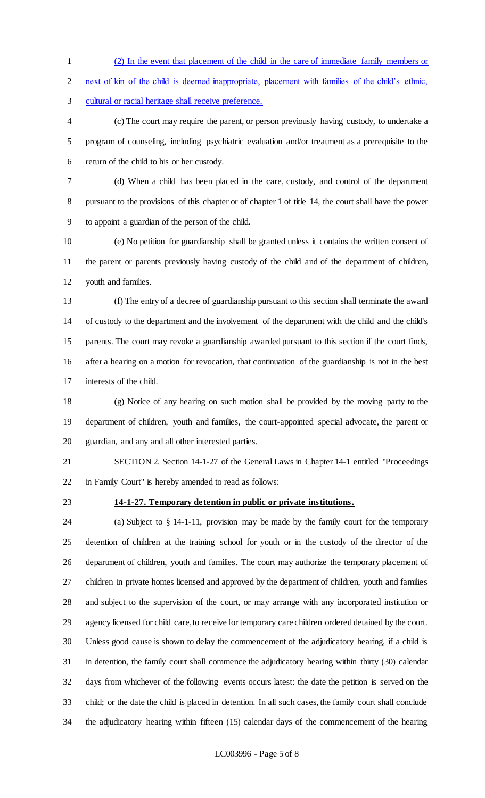(2) In the event that placement of the child in the care of immediate family members or

next of kin of the child is deemed inappropriate, placement with families of the child's ethnic,

cultural or racial heritage shall receive preference.

 (c) The court may require the parent, or person previously having custody, to undertake a program of counseling, including psychiatric evaluation and/or treatment as a prerequisite to the return of the child to his or her custody.

 (d) When a child has been placed in the care, custody, and control of the department pursuant to the provisions of this chapter or of chapter 1 of title 14, the court shall have the power to appoint a guardian of the person of the child.

 (e) No petition for guardianship shall be granted unless it contains the written consent of the parent or parents previously having custody of the child and of the department of children, youth and families.

 (f) The entry of a decree of guardianship pursuant to this section shall terminate the award of custody to the department and the involvement of the department with the child and the child's parents. The court may revoke a guardianship awarded pursuant to this section if the court finds, after a hearing on a motion for revocation, that continuation of the guardianship is not in the best interests of the child.

 (g) Notice of any hearing on such motion shall be provided by the moving party to the department of children, youth and families, the court-appointed special advocate, the parent or guardian, and any and all other interested parties.

 SECTION 2. Section 14-1-27 of the General Laws in Chapter 14-1 entitled "Proceedings in Family Court" is hereby amended to read as follows:

#### **14-1-27. Temporary detention in public or private institutions.**

 (a) Subject to § 14-1-11, provision may be made by the family court for the temporary detention of children at the training school for youth or in the custody of the director of the department of children, youth and families. The court may authorize the temporary placement of children in private homes licensed and approved by the department of children, youth and families and subject to the supervision of the court, or may arrange with any incorporated institution or agency licensed for child care, to receive for temporary care children ordered detained by the court. Unless good cause is shown to delay the commencement of the adjudicatory hearing, if a child is in detention, the family court shall commence the adjudicatory hearing within thirty (30) calendar days from whichever of the following events occurs latest: the date the petition is served on the child; or the date the child is placed in detention. In all such cases, the family court shall conclude the adjudicatory hearing within fifteen (15) calendar days of the commencement of the hearing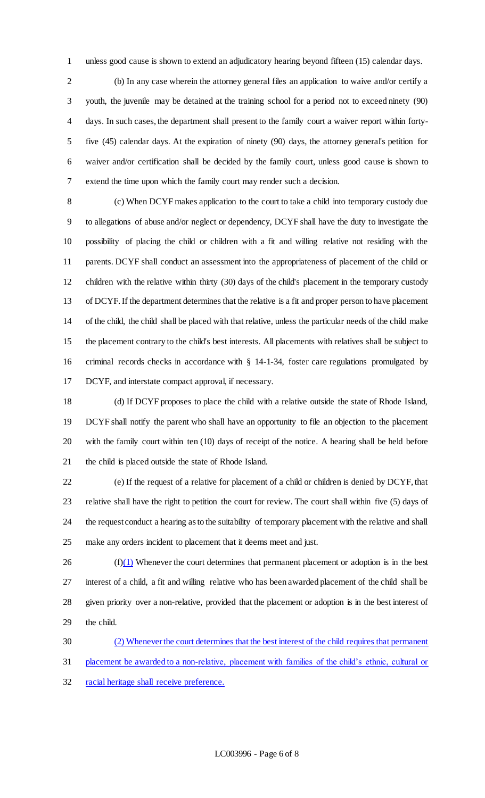unless good cause is shown to extend an adjudicatory hearing beyond fifteen (15) calendar days.

 (b) In any case wherein the attorney general files an application to waive and/or certify a youth, the juvenile may be detained at the training school for a period not to exceed ninety (90) days. In such cases, the department shall present to the family court a waiver report within forty- five (45) calendar days. At the expiration of ninety (90) days, the attorney general's petition for waiver and/or certification shall be decided by the family court, unless good cause is shown to extend the time upon which the family court may render such a decision.

 (c) When DCYF makes application to the court to take a child into temporary custody due to allegations of abuse and/or neglect or dependency, DCYF shall have the duty to investigate the possibility of placing the child or children with a fit and willing relative not residing with the parents. DCYF shall conduct an assessment into the appropriateness of placement of the child or children with the relative within thirty (30) days of the child's placement in the temporary custody of DCYF. If the department determines that the relative is a fit and proper person to have placement of the child, the child shall be placed with that relative, unless the particular needs of the child make the placement contrary to the child's best interests. All placements with relatives shall be subject to criminal records checks in accordance with § 14-1-34, foster care regulations promulgated by DCYF, and interstate compact approval, if necessary.

 (d) If DCYF proposes to place the child with a relative outside the state of Rhode Island, DCYF shall notify the parent who shall have an opportunity to file an objection to the placement with the family court within ten (10) days of receipt of the notice. A hearing shall be held before the child is placed outside the state of Rhode Island.

 (e) If the request of a relative for placement of a child or children is denied by DCYF, that relative shall have the right to petition the court for review. The court shall within five (5) days of the request conduct a hearing as to the suitability of temporary placement with the relative and shall make any orders incident to placement that it deems meet and just.

 (f)(1) Whenever the court determines that permanent placement or adoption is in the best interest of a child, a fit and willing relative who has been awarded placement of the child shall be given priority over a non-relative, provided that the placement or adoption is in the best interest of the child.

 (2) Whenever the court determines that the best interest of the child requires that permanent placement be awarded to a non-relative, placement with families of the child's ethnic, cultural or racial heritage shall receive preference.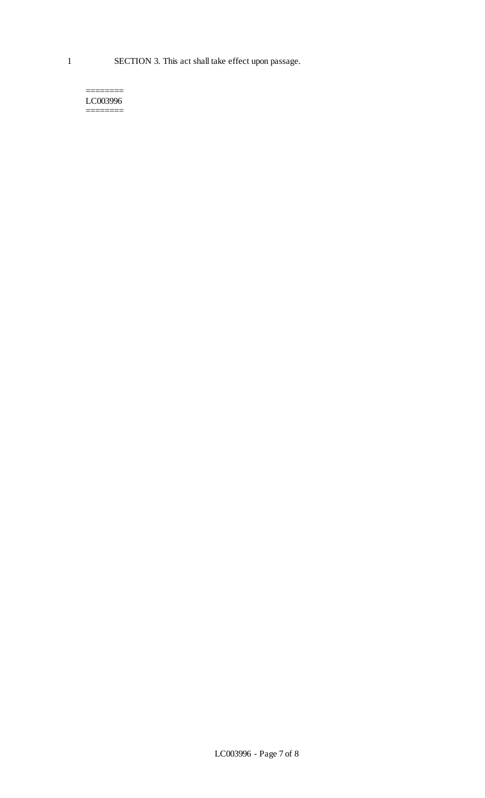1 SECTION 3. This act shall take effect upon passage.

======== LC003996 ========